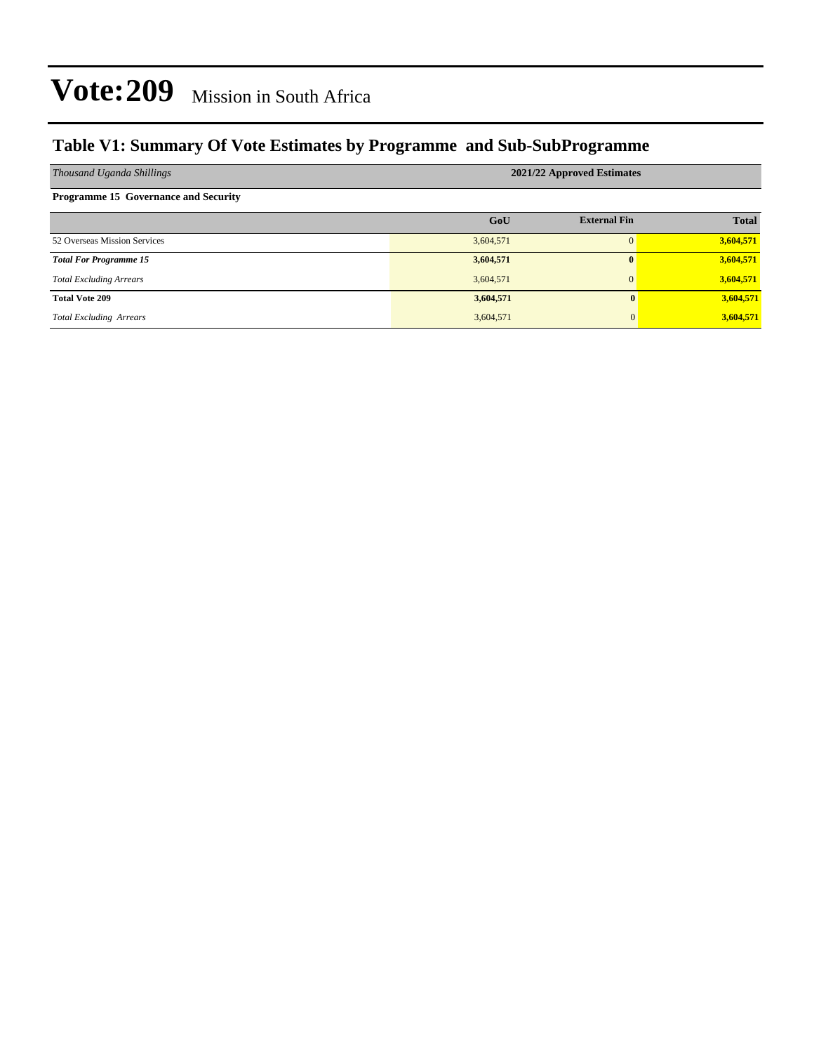### **Table V1: Summary Of Vote Estimates by Programme and Sub-SubProgramme**

| Thousand Uganda Shillings                   | 2021/22 Approved Estimates |                     |              |  |  |  |  |
|---------------------------------------------|----------------------------|---------------------|--------------|--|--|--|--|
| <b>Programme 15 Governance and Security</b> |                            |                     |              |  |  |  |  |
|                                             | GoU                        | <b>External Fin</b> | <b>Total</b> |  |  |  |  |
| 52 Overseas Mission Services                | 3,604,571                  |                     | 3,604,571    |  |  |  |  |
| <b>Total For Programme 15</b>               | 3,604,571                  | 0                   | 3,604,571    |  |  |  |  |
| <b>Total Excluding Arrears</b>              | 3,604,571                  | $\Omega$            | 3,604,571    |  |  |  |  |
| <b>Total Vote 209</b>                       | 3,604,571                  | 0                   | 3,604,571    |  |  |  |  |
| <b>Total Excluding Arrears</b>              | 3,604,571                  | $\overline{0}$      | 3,604,571    |  |  |  |  |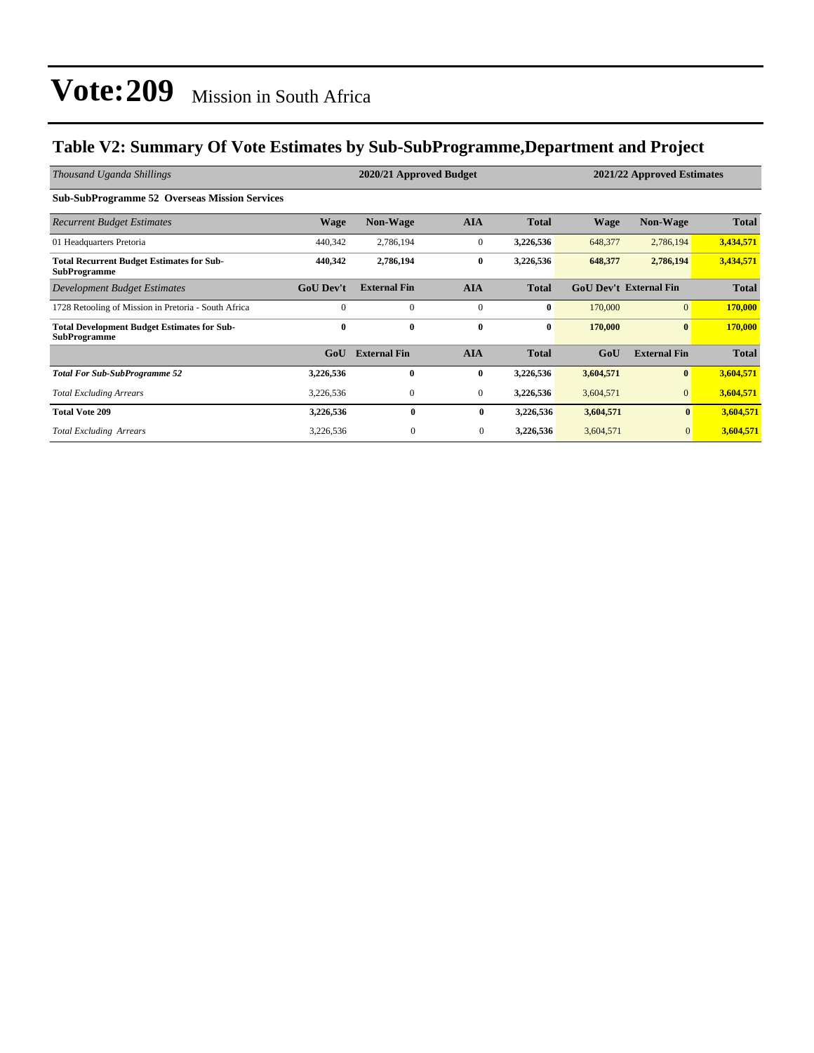### **Table V2: Summary Of Vote Estimates by Sub-SubProgramme,Department and Project**

| Thousand Uganda Shillings                                                 | 2020/21 Approved Budget<br>2021/22 Approved Estimates |                     |              |              |             |                               |              |
|---------------------------------------------------------------------------|-------------------------------------------------------|---------------------|--------------|--------------|-------------|-------------------------------|--------------|
| <b>Sub-SubProgramme 52 Overseas Mission Services</b>                      |                                                       |                     |              |              |             |                               |              |
| <b>Recurrent Budget Estimates</b>                                         | <b>Wage</b>                                           | <b>Non-Wage</b>     | <b>AIA</b>   | <b>Total</b> | <b>Wage</b> | Non-Wage                      | <b>Total</b> |
| 01 Headquarters Pretoria                                                  | 440,342                                               | 2,786,194           | $\mathbf{0}$ | 3,226,536    | 648,377     | 2,786,194                     | 3,434,571    |
| <b>Total Recurrent Budget Estimates for Sub-</b><br><b>SubProgramme</b>   | 440,342                                               | 2,786,194           | $\bf{0}$     | 3,226,536    | 648,377     | 2,786,194                     | 3,434,571    |
| Development Budget Estimates                                              | <b>GoU Dev't</b>                                      | <b>External Fin</b> | <b>AIA</b>   | <b>Total</b> |             | <b>GoU Dev't External Fin</b> | <b>Total</b> |
| 1728 Retooling of Mission in Pretoria - South Africa                      | $\Omega$                                              | $\Omega$            | $\mathbf{0}$ | $\bf{0}$     | 170,000     | $\overline{0}$                | 170,000      |
| <b>Total Development Budget Estimates for Sub-</b><br><b>SubProgramme</b> | $\mathbf{0}$                                          | $\mathbf{0}$        | $\bf{0}$     | $\bf{0}$     | 170,000     | $\bf{0}$                      | 170,000      |
|                                                                           | G <sub>0</sub> U                                      | <b>External Fin</b> | <b>AIA</b>   | <b>Total</b> | GoU         | <b>External Fin</b>           | <b>Total</b> |
| <b>Total For Sub-SubProgramme 52</b>                                      | 3,226,536                                             | $\mathbf{0}$        | $\bf{0}$     | 3,226,536    | 3,604,571   | $\bf{0}$                      | 3,604,571    |
| <b>Total Excluding Arrears</b>                                            | 3,226,536                                             | $\mathbf{0}$        | $\mathbf{0}$ | 3,226,536    | 3,604,571   | $\mathbf{0}$                  | 3,604,571    |
| <b>Total Vote 209</b>                                                     | 3,226,536                                             | 0                   | $\bf{0}$     | 3,226,536    | 3,604,571   | $\mathbf{0}$                  | 3,604,571    |
| <b>Total Excluding Arrears</b>                                            | 3,226,536                                             | $\mathbf{0}$        | $\mathbf{0}$ | 3,226,536    | 3,604,571   | $\mathbf{0}$                  | 3,604,571    |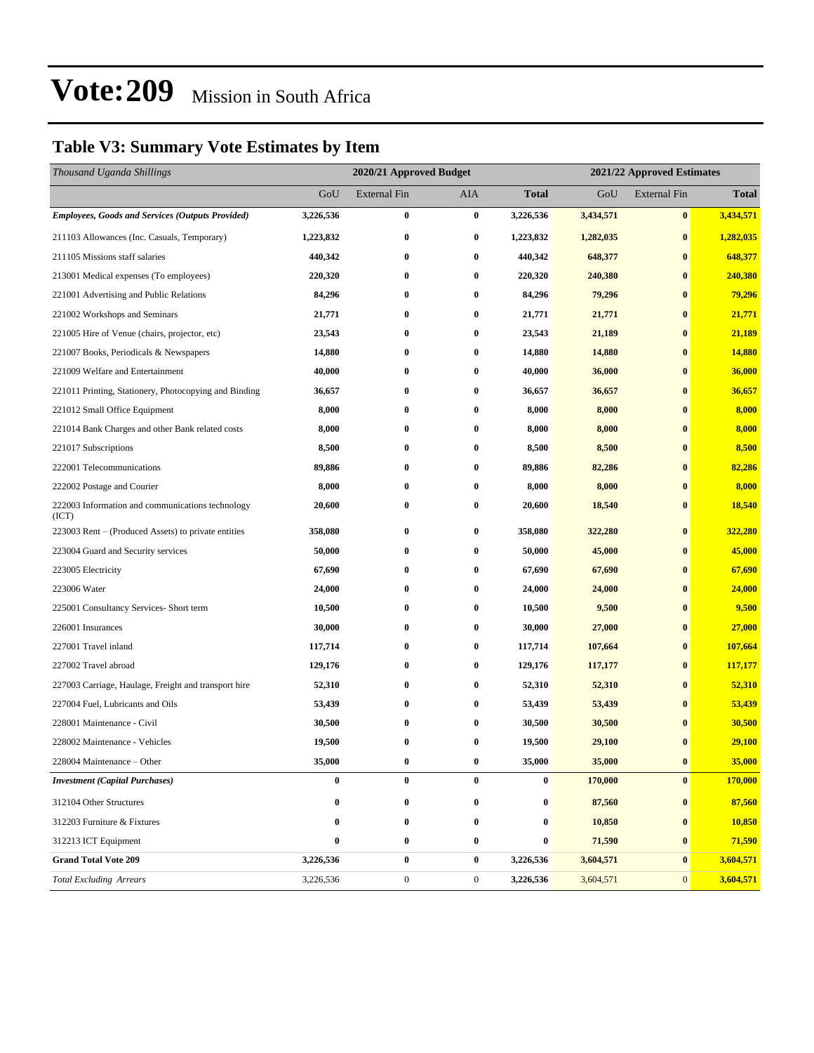### **Table V3: Summary Vote Estimates by Item**

| Thousand Uganda Shillings                                 |                  | 2020/21 Approved Budget |                  |              |           | 2021/22 Approved Estimates |              |  |  |
|-----------------------------------------------------------|------------------|-------------------------|------------------|--------------|-----------|----------------------------|--------------|--|--|
|                                                           | GoU              | <b>External Fin</b>     | AIA              | <b>Total</b> | GoU       | <b>External Fin</b>        | <b>Total</b> |  |  |
| <b>Employees, Goods and Services (Outputs Provided)</b>   | 3,226,536        | $\bf{0}$                | $\bf{0}$         | 3,226,536    | 3,434,571 | $\bf{0}$                   | 3,434,571    |  |  |
| 211103 Allowances (Inc. Casuals, Temporary)               | 1,223,832        | $\bf{0}$                | $\bf{0}$         | 1,223,832    | 1,282,035 | $\bf{0}$                   | 1,282,035    |  |  |
| 211105 Missions staff salaries                            | 440,342          | 0                       | $\bf{0}$         | 440,342      | 648,377   | $\bf{0}$                   | 648,377      |  |  |
| 213001 Medical expenses (To employees)                    | 220,320          | $\bf{0}$                | $\bf{0}$         | 220,320      | 240,380   | $\bf{0}$                   | 240,380      |  |  |
| 221001 Advertising and Public Relations                   | 84,296           | 0                       | $\bf{0}$         | 84,296       | 79,296    | $\bf{0}$                   | 79,296       |  |  |
| 221002 Workshops and Seminars                             | 21,771           | $\bf{0}$                | $\bf{0}$         | 21,771       | 21,771    | $\bf{0}$                   | 21,771       |  |  |
| 221005 Hire of Venue (chairs, projector, etc)             | 23,543           | $\bf{0}$                | $\bf{0}$         | 23,543       | 21,189    | $\bf{0}$                   | 21,189       |  |  |
| 221007 Books, Periodicals & Newspapers                    | 14,880           | 0                       | $\bf{0}$         | 14,880       | 14,880    | $\bf{0}$                   | 14,880       |  |  |
| 221009 Welfare and Entertainment                          | 40,000           | $\bf{0}$                | $\bf{0}$         | 40,000       | 36,000    | $\bf{0}$                   | 36,000       |  |  |
| 221011 Printing, Stationery, Photocopying and Binding     | 36,657           | 0                       | $\bf{0}$         | 36,657       | 36,657    | $\bf{0}$                   | 36,657       |  |  |
| 221012 Small Office Equipment                             | 8,000            | $\bf{0}$                | $\bf{0}$         | 8,000        | 8,000     | $\bf{0}$                   | 8,000        |  |  |
| 221014 Bank Charges and other Bank related costs          | 8,000            | $\bf{0}$                | $\bf{0}$         | 8,000        | 8,000     | $\bf{0}$                   | 8,000        |  |  |
| 221017 Subscriptions                                      | 8,500            | 0                       | $\bf{0}$         | 8,500        | 8,500     | $\bf{0}$                   | 8,500        |  |  |
| 222001 Telecommunications                                 | 89,886           | $\bf{0}$                | $\bf{0}$         | 89,886       | 82,286    | $\bf{0}$                   | 82,286       |  |  |
| 222002 Postage and Courier                                | 8,000            | $\bf{0}$                | $\bf{0}$         | 8,000        | 8,000     | $\bf{0}$                   | 8,000        |  |  |
| 222003 Information and communications technology<br>(ICT) | 20,600           | $\bf{0}$                | $\bf{0}$         | 20,600       | 18,540    | $\bf{0}$                   | 18,540       |  |  |
| 223003 Rent – (Produced Assets) to private entities       | 358,080          | 0                       | $\bf{0}$         | 358,080      | 322,280   | $\bf{0}$                   | 322,280      |  |  |
| 223004 Guard and Security services                        | 50,000           | $\bf{0}$                | $\bf{0}$         | 50,000       | 45,000    | $\bf{0}$                   | 45,000       |  |  |
| 223005 Electricity                                        | 67,690           | 0                       | $\bf{0}$         | 67,690       | 67,690    | $\bf{0}$                   | 67,690       |  |  |
| 223006 Water                                              | 24,000           | $\bf{0}$                | $\bf{0}$         | 24,000       | 24,000    | $\bf{0}$                   | 24,000       |  |  |
| 225001 Consultancy Services- Short term                   | 10,500           | 0                       | $\bf{0}$         | 10,500       | 9,500     | $\bf{0}$                   | 9,500        |  |  |
| 226001 Insurances                                         | 30,000           | 0                       | $\bf{0}$         | 30,000       | 27,000    | $\bf{0}$                   | 27,000       |  |  |
| 227001 Travel inland                                      | 117,714          | $\bf{0}$                | $\bf{0}$         | 117,714      | 107,664   | $\bf{0}$                   | 107,664      |  |  |
| 227002 Travel abroad                                      | 129,176          | 0                       | $\bf{0}$         | 129,176      | 117,177   | $\bf{0}$                   | 117,177      |  |  |
| 227003 Carriage, Haulage, Freight and transport hire      | 52,310           | $\bf{0}$                | $\bf{0}$         | 52,310       | 52,310    | $\bf{0}$                   | 52,310       |  |  |
| 227004 Fuel, Lubricants and Oils                          | 53,439           | 0                       | $\bf{0}$         | 53,439       | 53,439    | $\bf{0}$                   | 53,439       |  |  |
| 228001 Maintenance - Civil                                | 30,500           | 0                       | $\bf{0}$         | 30,500       | 30,500    | $\bf{0}$                   | 30,500       |  |  |
| 228002 Maintenance - Vehicles                             | 19,500           | $\bf{0}$                | $\bf{0}$         | 19,500       | 29,100    | $\bf{0}$                   | 29,100       |  |  |
| 228004 Maintenance - Other                                | 35,000           | $\bf{0}$                | $\bf{0}$         | 35,000       | 35,000    | $\bf{0}$                   | 35,000       |  |  |
| <b>Investment</b> (Capital Purchases)                     | $\boldsymbol{0}$ | $\bf{0}$                | $\bf{0}$         | $\bf{0}$     | 170,000   | $\bf{0}$                   | 170,000      |  |  |
| 312104 Other Structures                                   | $\bf{0}$         | $\bf{0}$                | $\bf{0}$         | 0            | 87,560    | $\bf{0}$                   | 87,560       |  |  |
| 312203 Furniture & Fixtures                               | 0                | $\bf{0}$                | $\bf{0}$         | 0            | 10,850    | $\bf{0}$                   | 10,850       |  |  |
| 312213 ICT Equipment                                      | 0                | $\bf{0}$                | $\bf{0}$         | 0            | 71,590    | $\bf{0}$                   | 71,590       |  |  |
| <b>Grand Total Vote 209</b>                               | 3,226,536        | $\pmb{0}$               | $\bf{0}$         | 3,226,536    | 3,604,571 | $\bf{0}$                   | 3,604,571    |  |  |
| <b>Total Excluding Arrears</b>                            | 3,226,536        | $\boldsymbol{0}$        | $\boldsymbol{0}$ | 3,226,536    | 3,604,571 | $\mathbf{0}$               | 3,604,571    |  |  |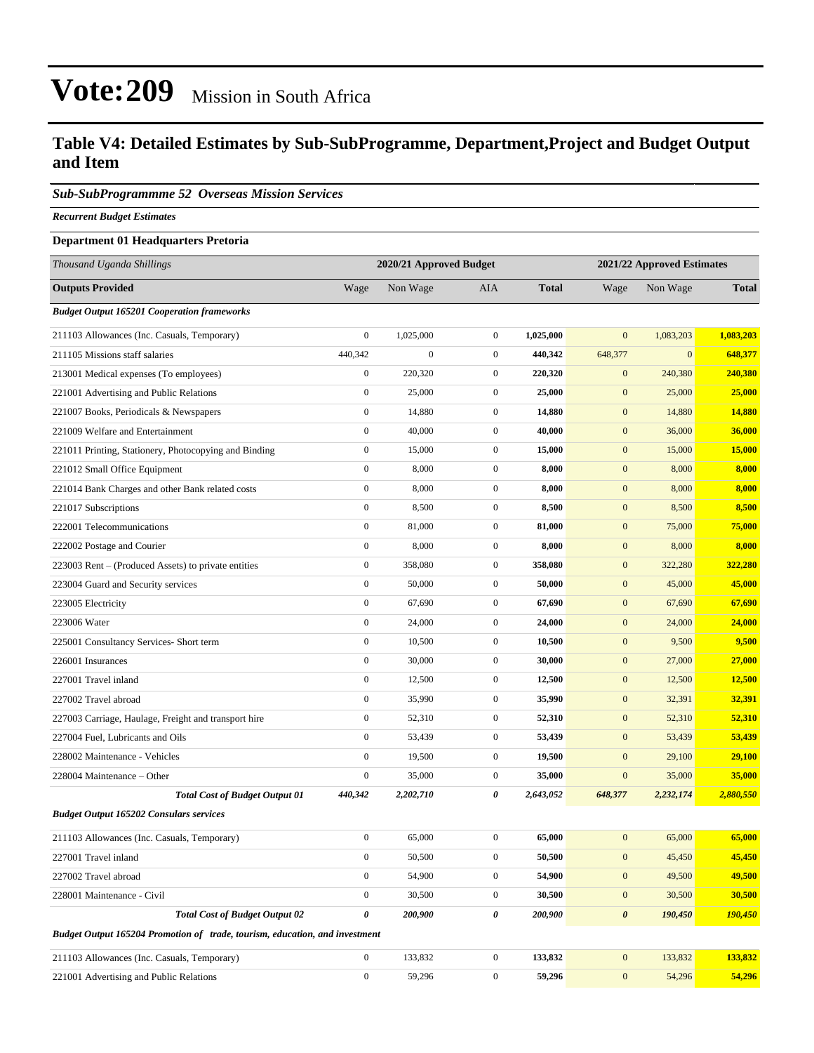#### **Table V4: Detailed Estimates by Sub-SubProgramme, Department,Project and Budget Output and Item**

#### *Sub-SubProgrammme 52 Overseas Mission Services*

*Recurrent Budget Estimates*

#### **Department 01 Headquarters Pretoria**

| Thousand Uganda Shillings                                                   | 2020/21 Approved Budget |                  |                  | 2021/22 Approved Estimates |                       |              |              |
|-----------------------------------------------------------------------------|-------------------------|------------------|------------------|----------------------------|-----------------------|--------------|--------------|
| <b>Outputs Provided</b>                                                     | Wage                    | Non Wage         | <b>AIA</b>       | <b>Total</b>               | Wage                  | Non Wage     | <b>Total</b> |
| <b>Budget Output 165201 Cooperation frameworks</b>                          |                         |                  |                  |                            |                       |              |              |
| 211103 Allowances (Inc. Casuals, Temporary)                                 | $\boldsymbol{0}$        | 1,025,000        | $\boldsymbol{0}$ | 1,025,000                  | $\mathbf{0}$          | 1,083,203    | 1,083,203    |
| 211105 Missions staff salaries                                              | 440,342                 | $\boldsymbol{0}$ | $\boldsymbol{0}$ | 440,342                    | 648,377               | $\mathbf{0}$ | 648,377      |
| 213001 Medical expenses (To employees)                                      | $\boldsymbol{0}$        | 220,320          | $\mathbf{0}$     | 220,320                    | $\mathbf{0}$          | 240,380      | 240,380      |
| 221001 Advertising and Public Relations                                     | $\boldsymbol{0}$        | 25,000           | $\boldsymbol{0}$ | 25,000                     | $\mathbf{0}$          | 25,000       | 25,000       |
| 221007 Books, Periodicals & Newspapers                                      | $\boldsymbol{0}$        | 14,880           | $\boldsymbol{0}$ | 14,880                     | $\boldsymbol{0}$      | 14,880       | 14,880       |
| 221009 Welfare and Entertainment                                            | $\boldsymbol{0}$        | 40,000           | $\boldsymbol{0}$ | 40,000                     | $\boldsymbol{0}$      | 36,000       | 36,000       |
| 221011 Printing, Stationery, Photocopying and Binding                       | $\boldsymbol{0}$        | 15,000           | $\mathbf{0}$     | 15,000                     | $\boldsymbol{0}$      | 15,000       | 15,000       |
| 221012 Small Office Equipment                                               | $\boldsymbol{0}$        | 8,000            | $\boldsymbol{0}$ | 8,000                      | $\boldsymbol{0}$      | 8,000        | 8,000        |
| 221014 Bank Charges and other Bank related costs                            | $\boldsymbol{0}$        | 8,000            | $\boldsymbol{0}$ | 8,000                      | $\mathbf{0}$          | 8,000        | 8,000        |
| 221017 Subscriptions                                                        | $\boldsymbol{0}$        | 8,500            | $\boldsymbol{0}$ | 8,500                      | $\boldsymbol{0}$      | 8,500        | 8,500        |
| 222001 Telecommunications                                                   | $\boldsymbol{0}$        | 81,000           | $\boldsymbol{0}$ | 81,000                     | $\boldsymbol{0}$      | 75,000       | 75,000       |
| 222002 Postage and Courier                                                  | $\boldsymbol{0}$        | 8,000            | $\mathbf{0}$     | 8,000                      | $\boldsymbol{0}$      | 8,000        | 8,000        |
| 223003 Rent – (Produced Assets) to private entities                         | $\boldsymbol{0}$        | 358,080          | $\mathbf{0}$     | 358,080                    | $\boldsymbol{0}$      | 322,280      | 322,280      |
| 223004 Guard and Security services                                          | $\boldsymbol{0}$        | 50,000           | $\boldsymbol{0}$ | 50,000                     | $\mathbf{0}$          | 45,000       | 45,000       |
| 223005 Electricity                                                          | $\boldsymbol{0}$        | 67,690           | $\boldsymbol{0}$ | 67,690                     | $\boldsymbol{0}$      | 67,690       | 67,690       |
| 223006 Water                                                                | $\boldsymbol{0}$        | 24,000           | $\boldsymbol{0}$ | 24,000                     | $\boldsymbol{0}$      | 24,000       | 24,000       |
| 225001 Consultancy Services- Short term                                     | $\boldsymbol{0}$        | 10,500           | $\boldsymbol{0}$ | 10,500                     | $\boldsymbol{0}$      | 9,500        | 9,500        |
| 226001 Insurances                                                           | $\boldsymbol{0}$        | 30,000           | $\mathbf{0}$     | 30,000                     | $\boldsymbol{0}$      | 27,000       | 27,000       |
| 227001 Travel inland                                                        | $\boldsymbol{0}$        | 12,500           | $\boldsymbol{0}$ | 12,500                     | $\mathbf{0}$          | 12,500       | 12,500       |
| 227002 Travel abroad                                                        | $\boldsymbol{0}$        | 35,990           | $\boldsymbol{0}$ | 35,990                     | $\boldsymbol{0}$      | 32,391       | 32,391       |
| 227003 Carriage, Haulage, Freight and transport hire                        | $\boldsymbol{0}$        | 52,310           | $\boldsymbol{0}$ | 52,310                     | $\boldsymbol{0}$      | 52,310       | 52,310       |
| 227004 Fuel, Lubricants and Oils                                            | $\boldsymbol{0}$        | 53,439           | $\mathbf{0}$     | 53,439                     | $\boldsymbol{0}$      | 53,439       | 53,439       |
| 228002 Maintenance - Vehicles                                               | $\boldsymbol{0}$        | 19,500           | $\mathbf{0}$     | 19,500                     | $\mathbf{0}$          | 29,100       | 29,100       |
| 228004 Maintenance – Other                                                  | $\boldsymbol{0}$        | 35,000           | $\boldsymbol{0}$ | 35,000                     | $\mathbf{0}$          | 35,000       | 35,000       |
| <b>Total Cost of Budget Output 01</b>                                       | 440,342                 | 2,202,710        | 0                | 2,643,052                  | 648,377               | 2,232,174    | 2,880,550    |
| <b>Budget Output 165202 Consulars services</b>                              |                         |                  |                  |                            |                       |              |              |
| 211103 Allowances (Inc. Casuals, Temporary)                                 | $\boldsymbol{0}$        | 65,000           | $\mathbf{0}$     | 65,000                     | $\mathbf{0}$          | 65,000       | 65,000       |
| 227001 Travel inland                                                        | $\boldsymbol{0}$        | 50,500           | $\boldsymbol{0}$ | 50,500                     | $\boldsymbol{0}$      | 45,450       | 45,450       |
| 227002 Travel abroad                                                        | $\boldsymbol{0}$        | 54,900           | $\mathbf{0}$     | 54,900                     | $\boldsymbol{0}$      | 49,500       | 49,500       |
| 228001 Maintenance - Civil                                                  | $\boldsymbol{0}$        | 30,500           | $\boldsymbol{0}$ | 30,500                     | $\boldsymbol{0}$      | 30,500       | 30,500       |
| <b>Total Cost of Budget Output 02</b>                                       | $\pmb{\theta}$          | 200,900          | 0                | 200,900                    | $\boldsymbol{\theta}$ | 190,450      | 190,450      |
| Budget Output 165204 Promotion of trade, tourism, education, and investment |                         |                  |                  |                            |                       |              |              |
| 211103 Allowances (Inc. Casuals, Temporary)                                 | $\mathbf{0}$            | 133,832          | $\boldsymbol{0}$ | 133,832                    | $\boldsymbol{0}$      | 133,832      | 133,832      |
| 221001 Advertising and Public Relations                                     | $\boldsymbol{0}$        | 59,296           | $\boldsymbol{0}$ | 59,296                     | $\boldsymbol{0}$      | 54,296       | 54,296       |